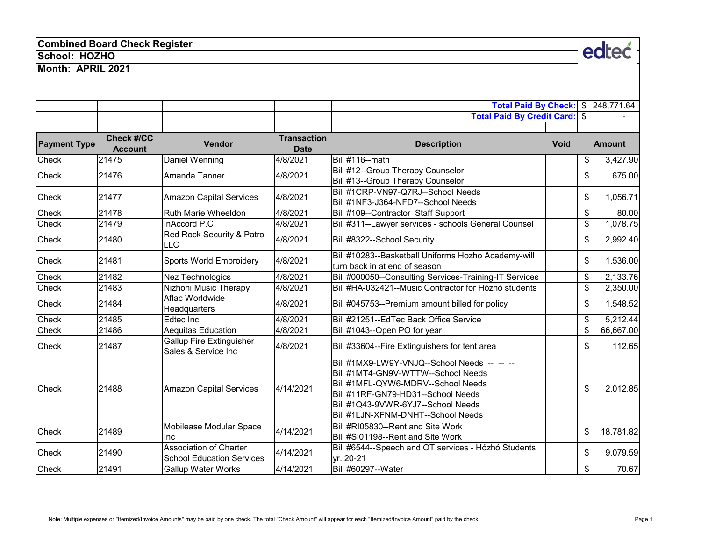## **Combined Board Check Register**

**School: HOZHO**

**Month: APRIL 2021**

|                     |                                     |                                                                   |                                   | <b>Total Paid By Check: \$</b>                                                                                                                                                                                                            |             | 248,771.64      |
|---------------------|-------------------------------------|-------------------------------------------------------------------|-----------------------------------|-------------------------------------------------------------------------------------------------------------------------------------------------------------------------------------------------------------------------------------------|-------------|-----------------|
|                     |                                     |                                                                   |                                   | Total Paid By Credit Card: \$                                                                                                                                                                                                             |             |                 |
| <b>Payment Type</b> | <b>Check #/CC</b><br><b>Account</b> | <b>Vendor</b>                                                     | <b>Transaction</b><br><b>Date</b> | <b>Description</b>                                                                                                                                                                                                                        | <b>Void</b> | <b>Amount</b>   |
| Check               | 21475                               | Daniel Wenning                                                    | 4/8/2021                          | <b>Bill #116--math</b>                                                                                                                                                                                                                    |             | \$<br>3,427.90  |
| Check               | 21476                               | Amanda Tanner                                                     | 4/8/2021                          | Bill #12--Group Therapy Counselor<br>Bill #13--Group Therapy Counselor                                                                                                                                                                    |             | \$<br>675.00    |
| Check               | 21477                               | <b>Amazon Capital Services</b>                                    | 4/8/2021                          | Bill #1CRP-VN97-Q7RJ--School Needs<br>Bill #1NF3-J364-NFD7--School Needs                                                                                                                                                                  |             | \$<br>1,056.71  |
| <b>Check</b>        | 21478                               | Ruth Marie Wheeldon                                               | 4/8/2021                          | Bill #109--Contractor Staff Support                                                                                                                                                                                                       |             | \$<br>80.00     |
| Check               | 21479                               | InAccord P.C                                                      | 4/8/2021                          | Bill #311--Lawyer services - schools General Counsel                                                                                                                                                                                      |             | \$<br>1,078.75  |
| Check               | 21480                               | Red Rock Security & Patrol<br><b>LLC</b>                          | 4/8/2021                          | Bill #8322--School Security                                                                                                                                                                                                               |             | \$<br>2,992.40  |
| <b>Check</b>        | 21481                               | <b>Sports World Embroidery</b>                                    | 4/8/2021                          | Bill #10283--Basketball Uniforms Hozho Academy-will<br>turn back in at end of season                                                                                                                                                      |             | \$<br>1,536.00  |
| Check               | 21482                               | <b>Nez Technologics</b>                                           | 4/8/2021                          | Bill #000050--Consulting Services-Training-IT Services                                                                                                                                                                                    |             | \$<br>2,133.76  |
| Check               | 21483                               | Nizhoni Music Therapy                                             | 4/8/2021                          | Bill #HA-032421--Music Contractor for Hózhó students                                                                                                                                                                                      |             | \$<br>2,350.00  |
| Check               | 21484                               | Aflac Worldwide<br>Headquarters                                   | 4/8/2021                          | Bill #045753--Premium amount billed for policy                                                                                                                                                                                            |             | \$<br>1,548.52  |
| Check               | 21485                               | Edtec Inc.                                                        | 4/8/2021                          | Bill #21251--EdTec Back Office Service                                                                                                                                                                                                    |             | \$<br>5,212.44  |
| Check               | 21486                               | <b>Aequitas Education</b>                                         | 4/8/2021                          | Bill #1043--Open PO for year                                                                                                                                                                                                              |             | \$<br>66,667.00 |
| Check               | 21487                               | <b>Gallup Fire Extinguisher</b><br>Sales & Service Inc            | 4/8/2021                          | Bill #33604--Fire Extinguishers for tent area                                                                                                                                                                                             |             | \$<br>112.65    |
| <b>Check</b>        | 21488                               | <b>Amazon Capital Services</b>                                    | 4/14/2021                         | Bill #1MX9-LW9Y-VNJQ--School Needs -- -- --<br>Bill #1MT4-GN9V-WTTW--School Needs<br>Bill #1MFL-QYW6-MDRV--School Needs<br>Bill #11RF-GN79-HD31--School Needs<br>Bill #1Q43-9VWR-6YJ7--School Needs<br>Bill #1LJN-XFNM-DNHT--School Needs |             | \$<br>2,012.85  |
| Check               | 21489                               | Mobilease Modular Space<br>Inc                                    | 4/14/2021                         | Bill #RI05830--Rent and Site Work<br>Bill #SI01198--Rent and Site Work                                                                                                                                                                    |             | \$<br>18,781.82 |
| Check               | 21490                               | <b>Association of Charter</b><br><b>School Education Services</b> | 4/14/2021                         | Bill #6544--Speech and OT services - Hózhó Students<br>yr. 20-21                                                                                                                                                                          |             | \$<br>9,079.59  |
| Check               | 21491                               | <b>Gallup Water Works</b>                                         | 4/14/2021                         | Bill #60297--Water                                                                                                                                                                                                                        |             | \$<br>70.67     |

edteć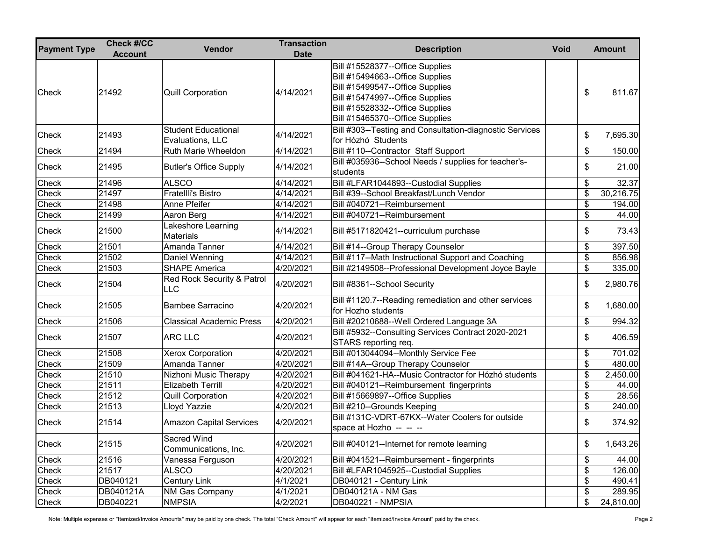| <b>Payment Type</b> | <b>Check #/CC</b><br><b>Account</b> | Vendor                                         | <b>Transaction</b><br><b>Date</b> | <b>Description</b><br><b>Void</b>                                                                                                                                                                              | <b>Amount</b>   |
|---------------------|-------------------------------------|------------------------------------------------|-----------------------------------|----------------------------------------------------------------------------------------------------------------------------------------------------------------------------------------------------------------|-----------------|
| <b>Check</b>        | 21492                               | <b>Quill Corporation</b>                       | 4/14/2021                         | Bill #15528377--Office Supplies<br>Bill #15494663--Office Supplies<br>Bill #15499547--Office Supplies<br>Bill #15474997--Office Supplies<br>Bill #15528332--Office Supplies<br>Bill #15465370--Office Supplies | \$<br>811.67    |
| Check               | 21493                               | <b>Student Educational</b><br>Evaluations, LLC | 4/14/2021                         | Bill #303--Testing and Consultation-diagnostic Services<br>for Hózhó Students                                                                                                                                  | \$<br>7,695.30  |
| Check               | 21494                               | Ruth Marie Wheeldon                            | 4/14/2021                         | Bill #110--Contractor Staff Support                                                                                                                                                                            | \$<br>150.00    |
| Check               | 21495                               | <b>Butler's Office Supply</b>                  | 4/14/2021                         | Bill #035936--School Needs / supplies for teacher's-<br>students                                                                                                                                               | \$<br>21.00     |
| Check               | 21496                               | <b>ALSCO</b>                                   | 4/14/2021                         | Bill #LFAR1044893--Custodial Supplies                                                                                                                                                                          | \$<br>32.37     |
| Check               | 21497                               | Fratellli's Bistro                             | 4/14/2021                         | Bill #39--School Breakfast/Lunch Vendor                                                                                                                                                                        | \$<br>30,216.75 |
| Check               | 21498                               | Anne Pfeifer                                   | 4/14/2021                         | Bill #040721--Reimbursement                                                                                                                                                                                    | \$<br>194.00    |
| Check               | 21499                               | Aaron Berg                                     | 4/14/2021                         | Bill #040721--Reimbursement                                                                                                                                                                                    | \$<br>44.00     |
| Check               | 21500                               | Lakeshore Learning<br><b>Materials</b>         | 4/14/2021                         | Bill #5171820421--curriculum purchase                                                                                                                                                                          | \$<br>73.43     |
| Check               | 21501                               | Amanda Tanner                                  | 4/14/2021                         | Bill #14--Group Therapy Counselor                                                                                                                                                                              | \$<br>397.50    |
| Check               | 21502                               | Daniel Wenning                                 | 4/14/2021                         | Bill #117--Math Instructional Support and Coaching                                                                                                                                                             | \$<br>856.98    |
| Check               | 21503                               | <b>SHAPE America</b>                           | 4/20/2021                         | Bill #2149508--Professional Development Joyce Bayle                                                                                                                                                            | \$<br>335.00    |
| Check               | 21504                               | Red Rock Security & Patrol<br><b>LLC</b>       | 4/20/2021                         | Bill #8361--School Security                                                                                                                                                                                    | \$<br>2,980.76  |
| Check               | 21505                               | <b>Bambee Sarracino</b>                        | 4/20/2021                         | Bill #1120.7--Reading remediation and other services<br>for Hozho students                                                                                                                                     | \$<br>1,680.00  |
| Check               | 21506                               | <b>Classical Academic Press</b>                | 4/20/2021                         | Bill #20210688--Well Ordered Language 3A                                                                                                                                                                       | \$<br>994.32    |
| Check               | 21507                               | <b>ARC LLC</b>                                 | 4/20/2021                         | Bill #5932--Consulting Services Contract 2020-2021<br>STARS reporting req.                                                                                                                                     | \$<br>406.59    |
| Check               | 21508                               | Xerox Corporation                              | 4/20/2021                         | Bill #013044094--Monthly Service Fee                                                                                                                                                                           | \$<br>701.02    |
| Check               | 21509                               | Amanda Tanner                                  | 4/20/2021                         | Bill #14A--Group Therapy Counselor                                                                                                                                                                             | \$<br>480.00    |
| Check               | 21510                               | Nizhoni Music Therapy                          | 4/20/2021                         | Bill #041621-HA--Music Contractor for Hózhó students                                                                                                                                                           | \$<br>2,450.00  |
| Check               | 21511                               | <b>Elizabeth Terrill</b>                       | 4/20/2021                         | Bill #040121--Reimbursement fingerprints                                                                                                                                                                       | \$<br>44.00     |
| Check               | 21512                               | <b>Quill Corporation</b>                       | 4/20/2021                         | Bill #15669897--Office Supplies                                                                                                                                                                                | \$<br>28.56     |
| Check               | 21513                               | Lloyd Yazzie                                   | 4/20/2021                         | Bill #210--Grounds Keeping                                                                                                                                                                                     | \$<br>240.00    |
| Check               | 21514                               | <b>Amazon Capital Services</b>                 | 4/20/2021                         | Bill #131C-VDRT-67KX--Water Coolers for outside<br>space at Hozho -- -- --                                                                                                                                     | \$<br>374.92    |
| Check               | 21515                               | Sacred Wind<br>Communications, Inc.            | 4/20/2021                         | Bill #040121--Internet for remote learning                                                                                                                                                                     | \$<br>1,643.26  |
| Check               | 21516                               | Vanessa Ferguson                               | 4/20/2021                         | Bill #041521--Reimbursement - fingerprints                                                                                                                                                                     | \$<br>44.00     |
| Check               | 21517                               | <b>ALSCO</b>                                   | 4/20/2021                         | Bill #LFAR1045925--Custodial Supplies                                                                                                                                                                          | \$<br>126.00    |
| Check               | DB040121                            | Century Link                                   | 4/1/2021                          | DB040121 - Century Link                                                                                                                                                                                        | \$<br>490.41    |
| Check               | DB040121A                           | <b>NM Gas Company</b>                          | 4/1/2021                          | DB040121A - NM Gas                                                                                                                                                                                             | \$<br>289.95    |
| Check               | DB040221                            | <b>NMPSIA</b>                                  | 4/2/2021                          | DB040221 - NMPSIA                                                                                                                                                                                              | \$<br>24,810.00 |

Note: Multiple expenses or "Itemized/Invoice Amounts" may be paid by one check. The total "Check Amount" will appear for each "Itemized/Invoice Amount" paid by the check. <br>Page 2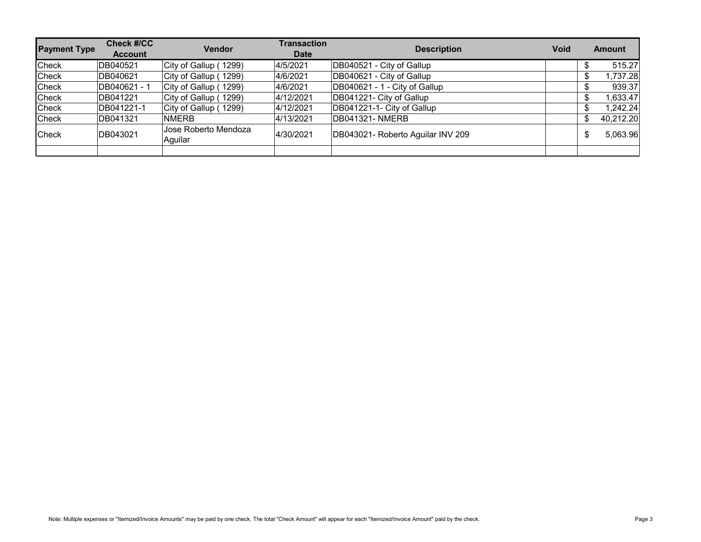| <b>Payment Type</b> | <b>Check #/CC</b><br><b>Account</b> | <b>Vendor</b>                   | <b>Transaction</b><br><b>Date</b> | <b>Description</b>                | <b>Void</b> | <b>Amount</b>   |
|---------------------|-------------------------------------|---------------------------------|-----------------------------------|-----------------------------------|-------------|-----------------|
| Check               | DB040521                            | City of Gallup (1299)           | 4/5/2021                          | DB040521 - City of Gallup         |             | 515.27          |
| Check               | DB040621                            | City of Gallup (1299)           | 4/6/2021                          | DB040621 - City of Gallup         |             | 1,737.28        |
| Check               | DB040621 - 1                        | City of Gallup (1299)           | 4/6/2021                          | DB040621 - 1 - City of Gallup     |             | 939.37          |
| Check               | DB041221                            | City of Gallup (1299)           | 4/12/2021                         | DB041221- City of Gallup          |             | 1,633.47        |
| Check               | DB041221-1                          | City of Gallup (1299)           | 4/12/2021                         | DB041221-1- City of Gallup        |             | 1,242.24        |
| Check               | DB041321                            | <b>NMERB</b>                    | 4/13/2021                         | DB041321-NMERB                    |             | \$<br>40,212.20 |
| Check               | DB043021                            | Jose Roberto Mendoza<br>Aguilar | 4/30/2021                         | DB043021- Roberto Aguilar INV 209 |             | \$<br>5,063.96  |
|                     |                                     |                                 |                                   |                                   |             |                 |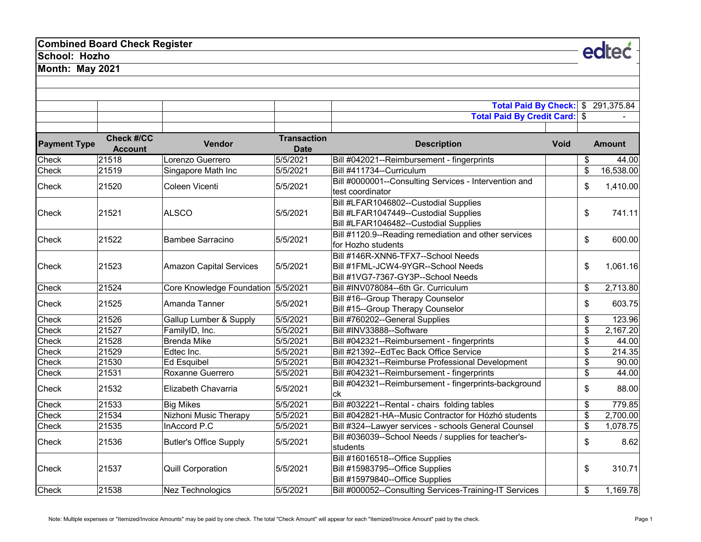## **Combined Board Check Register**

**School: Hozho**

**Month: May 2021**

|                     |                                     |                                    |                                   | Total Paid By Check: \$ 291,375.84<br><b>Total Paid By Credit Card: \$</b>                                              |             |                         |               |
|---------------------|-------------------------------------|------------------------------------|-----------------------------------|-------------------------------------------------------------------------------------------------------------------------|-------------|-------------------------|---------------|
| <b>Payment Type</b> | <b>Check #/CC</b><br><b>Account</b> | Vendor                             | <b>Transaction</b><br><b>Date</b> | <b>Description</b>                                                                                                      | <b>Void</b> |                         | <b>Amount</b> |
| Check               | 21518                               | Lorenzo Guerrero                   | 5/5/2021                          | Bill #042021--Reimbursement - fingerprints                                                                              |             | \$                      | 44.00         |
| Check               | 21519                               | Singapore Math Inc                 | 5/5/2021                          | Bill #411734--Curriculum                                                                                                |             | \$                      | 16,538.00     |
| <b>Check</b>        | 21520                               | Coleen Vicenti                     | 5/5/2021                          | Bill #0000001--Consulting Services - Intervention and<br>test coordinator                                               |             | \$                      | 1,410.00      |
| Check               | 21521                               | <b>ALSCO</b>                       | 5/5/2021                          | Bill #LFAR1046802--Custodial Supplies<br>Bill #LFAR1047449--Custodial Supplies<br>Bill #LFAR1046482--Custodial Supplies |             | \$                      | 741.11        |
| Check               | 21522                               | <b>Bambee Sarracino</b>            | 5/5/2021                          | Bill #1120.9--Reading remediation and other services<br>for Hozho students                                              |             | \$                      | 600.00        |
| Check               | 21523                               | <b>Amazon Capital Services</b>     | 5/5/2021                          | Bill #146R-XNN6-TFX7--School Needs<br>Bill #1FML-JCW4-9YGR--School Needs<br>Bill #1VG7-7367-GY3P--School Needs          |             | \$                      | 1,061.16      |
| Check               | 21524                               | Core Knowledge Foundation 5/5/2021 |                                   | Bill #INV078084--6th Gr. Curriculum                                                                                     |             | \$                      | 2,713.80      |
| Check               | 21525                               | Amanda Tanner                      | 5/5/2021                          | Bill #16--Group Therapy Counselor<br>Bill #15--Group Therapy Counselor                                                  |             | \$                      | 603.75        |
| Check               | 21526                               | Gallup Lumber & Supply             | 5/5/2021                          | Bill #760202--General Supplies                                                                                          |             | \$                      | 123.96        |
| Check               | 21527                               | FamilyID, Inc.                     | 5/5/2021                          | Bill #INV33888--Software                                                                                                |             | \$                      | 2,167.20      |
| Check               | 21528                               | <b>Brenda Mike</b>                 | 5/5/2021                          | Bill #042321--Reimbursement - fingerprints                                                                              |             | \$                      | 44.00         |
| Check               | 21529                               | Edtec Inc.                         | 5/5/2021                          | Bill #21392--EdTec Back Office Service                                                                                  |             | \$                      | 214.35        |
| Check               | 21530                               | <b>Ed Esquibel</b>                 | 5/5/2021                          | Bill #042321--Reimburse Professional Development                                                                        |             | \$                      | 90.00         |
| Check               | 21531                               | Roxanne Guerrero                   | 5/5/2021                          | Bill #042321--Reimbursement - fingerprints                                                                              |             | \$                      | 44.00         |
| <b>Check</b>        | 21532                               | Elizabeth Chavarria                | 5/5/2021                          | Bill #042321--Reimbursement - fingerprints-background<br>ck                                                             |             | \$                      | 88.00         |
| Check               | 21533                               | <b>Big Mikes</b>                   | 5/5/2021                          | Bill #032221--Rental - chairs folding tables                                                                            |             | \$                      | 779.85        |
| Check               | 21534                               | Nizhoni Music Therapy              | 5/5/2021                          | Bill #042821-HA--Music Contractor for Hózhó students                                                                    |             | \$                      | 2,700.00      |
| Check               | 21535                               | InAccord P.C                       | 5/5/2021                          | Bill #324--Lawyer services - schools General Counsel                                                                    |             | $\overline{\mathbf{S}}$ | 1,078.75      |
| <b>Check</b>        | 21536                               | <b>Butler's Office Supply</b>      | 5/5/2021                          | Bill #036039--School Needs / supplies for teacher's-<br>students                                                        |             | \$                      | 8.62          |
| Check               | 21537                               | <b>Quill Corporation</b>           | 5/5/2021                          | Bill #16016518--Office Supplies<br>Bill #15983795--Office Supplies<br>Bill #15979840--Office Supplies                   |             | \$                      | 310.71        |
| Check               | 21538                               | <b>Nez Technologics</b>            | 5/5/2021                          | Bill #000052--Consulting Services-Training-IT Services                                                                  |             | \$                      | 1,169.78      |

edteć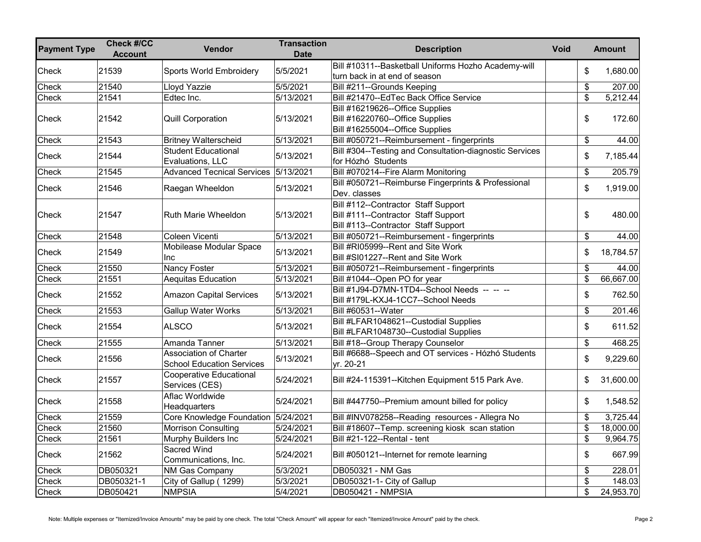| <b>Payment Type</b> | <b>Check #/CC</b><br><b>Account</b> | Vendor                                                            | <b>Transaction</b><br><b>Date</b> | <b>Description</b>                                                                                                | <b>Void</b> |                         | <b>Amount</b> |
|---------------------|-------------------------------------|-------------------------------------------------------------------|-----------------------------------|-------------------------------------------------------------------------------------------------------------------|-------------|-------------------------|---------------|
| Check               | 21539                               | Sports World Embroidery                                           | 5/5/2021                          | Bill #10311--Basketball Uniforms Hozho Academy-will<br>turn back in at end of season                              |             | \$                      | 1,680.00      |
| Check               | 21540                               | Lloyd Yazzie                                                      | 5/5/2021                          | Bill #211--Grounds Keeping                                                                                        |             | \$                      | 207.00        |
| Check               | 21541                               | Edtec Inc.                                                        | 5/13/2021                         | Bill #21470--EdTec Back Office Service                                                                            |             | \$                      | 5,212.44      |
| Check               | 21542                               | <b>Quill Corporation</b>                                          | 5/13/2021                         | Bill #16219626--Office Supplies<br>Bill #16220760--Office Supplies<br>Bill #16255004--Office Supplies             |             | \$                      | 172.60        |
| Check               | 21543                               | <b>Britney Walterscheid</b>                                       | 5/13/2021                         | Bill #050721--Reimbursement - fingerprints                                                                        |             | \$                      | 44.00         |
| Check               | 21544                               | <b>Student Educational</b><br>Evaluations, LLC                    | 5/13/2021                         | Bill #304--Testing and Consultation-diagnostic Services<br>for Hózhó Students                                     |             | \$                      | 7,185.44      |
| Check               | 21545                               | Advanced Tecnical Services 5/13/2021                              |                                   | Bill #070214--Fire Alarm Monitoring                                                                               |             | \$                      | 205.79        |
| Check               | 21546                               | Raegan Wheeldon                                                   | 5/13/2021                         | Bill #050721--Reimburse Fingerprints & Professional<br>Dev. classes                                               |             | \$                      | 1,919.00      |
| Check               | 21547                               | Ruth Marie Wheeldon                                               | 5/13/2021                         | Bill #112--Contractor Staff Support<br>Bill #111--Contractor Staff Support<br>Bill #113--Contractor Staff Support |             | \$                      | 480.00        |
| Check               | 21548                               | Coleen Vicenti                                                    | 5/13/2021                         | Bill #050721--Reimbursement - fingerprints                                                                        |             | \$                      | 44.00         |
| Check               | 21549                               | Mobilease Modular Space<br>Inc                                    | 5/13/2021                         | Bill #RI05999--Rent and Site Work<br>Bill #SI01227--Rent and Site Work                                            |             | \$                      | 18,784.57     |
| Check               | 21550                               | <b>Nancy Foster</b>                                               | 5/13/2021                         | Bill #050721--Reimbursement - fingerprints                                                                        |             | \$                      | 44.00         |
| Check               | 21551                               | <b>Aequitas Education</b>                                         | 5/13/2021                         | Bill #1044--Open PO for year                                                                                      |             | \$                      | 66,667.00     |
| Check               | 21552                               | <b>Amazon Capital Services</b>                                    | 5/13/2021                         | Bill #1J94-D7MN-1TD4--School Needs -- -- --<br>Bill #179L-KXJ4-1CC7--School Needs                                 |             | \$                      | 762.50        |
| Check               | 21553                               | Gallup Water Works                                                | 5/13/2021                         | Bill #60531--Water                                                                                                |             | \$                      | 201.46        |
| Check               | 21554                               | <b>ALSCO</b>                                                      | 5/13/2021                         | Bill #LFAR1048621--Custodial Supplies<br>Bill #LFAR1048730--Custodial Supplies                                    |             | \$                      | 611.52        |
| Check               | 21555                               | Amanda Tanner                                                     | 5/13/2021                         | Bill #18--Group Therapy Counselor                                                                                 |             | \$                      | 468.25        |
| Check               | 21556                               | <b>Association of Charter</b><br><b>School Education Services</b> | 5/13/2021                         | Bill #6688--Speech and OT services - Hózhó Students<br>yr. 20-21                                                  |             | \$                      | 9,229.60      |
| Check               | 21557                               | <b>Cooperative Educational</b><br>Services (CES)                  | 5/24/2021                         | Bill #24-115391--Kitchen Equipment 515 Park Ave.                                                                  |             | \$                      | 31,600.00     |
| Check               | 21558                               | Aflac Worldwide<br>Headquarters                                   | 5/24/2021                         | Bill #447750--Premium amount billed for policy                                                                    |             | \$                      | 1,548.52      |
| Check               | 21559                               | Core Knowledge Foundation 5/24/2021                               |                                   | Bill #INV078258--Reading resources - Allegra No                                                                   |             | \$                      | 3,725.44      |
| Check               | 21560                               | <b>Morrison Consulting</b>                                        | 5/24/2021                         | Bill #18607--Temp. screening kiosk scan station                                                                   |             | \$                      | 18,000.00     |
| Check               | 21561                               | Murphy Builders Inc                                               | 5/24/2021                         | Bill #21-122--Rental - tent                                                                                       |             | \$                      | 9,964.75      |
| Check               | 21562                               | Sacred Wind<br>Communications, Inc.                               | 5/24/2021                         | Bill #050121--Internet for remote learning                                                                        |             | \$                      | 667.99        |
| Check               | DB050321                            | <b>NM Gas Company</b>                                             | 5/3/2021                          | DB050321 - NM Gas                                                                                                 |             | \$                      | 228.01        |
| Check               | DB050321-1                          | City of Gallup (1299)                                             | 5/3/2021                          | DB050321-1- City of Gallup                                                                                        |             | $\overline{\mathbf{S}}$ | 148.03        |
| Check               | DB050421                            | <b>NMPSIA</b>                                                     | 5/4/2021                          | <b>DB050421 - NMPSIA</b>                                                                                          |             | \$                      | 24,953.70     |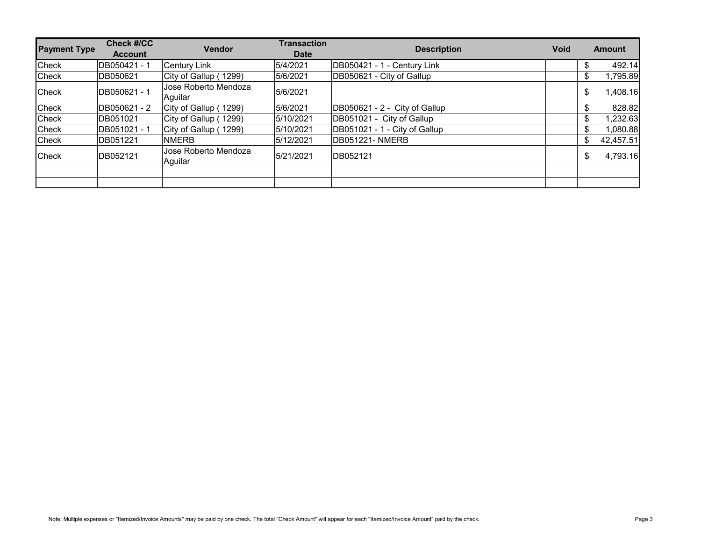| <b>Check #/CC</b><br><b>Account</b> | <b>Vendor</b>                   | <b>Transaction</b><br><b>Date</b> | <b>Description</b>            | <b>Void</b> |    | <b>Amount</b> |
|-------------------------------------|---------------------------------|-----------------------------------|-------------------------------|-------------|----|---------------|
| DB050421 - 1                        | <b>Century Link</b>             | 5/4/2021                          | DB050421 - 1 - Century Link   |             | ж, | 492.14        |
| DB050621                            | City of Gallup (1299)           | 5/6/2021                          | DB050621 - City of Gallup     |             | \$ | 1,795.89      |
| DB050621 - 1                        | Jose Roberto Mendoza<br>Aquilar | 5/6/2021                          |                               |             | \$ | 1,408.16      |
| DB050621 - 2                        | City of Gallup (1299)           | 5/6/2021                          | DB050621 - 2 - City of Gallup |             | \$ | 828.82        |
| DB051021                            | City of Gallup (1299)           | 5/10/2021                         | DB051021 - City of Gallup     |             | \$ | 1,232.63      |
| DB051021 - 1                        | City of Gallup (1299)           | 5/10/2021                         | DB051021 - 1 - City of Gallup |             | \$ | 1,080.88      |
| DB051221                            | <b>NMERB</b>                    | 5/12/2021                         | <b>DB051221- NMERB</b>        |             | \$ | 42,457.51     |
| DB052121                            | Jose Roberto Mendoza<br>Aguilar | 5/21/2021                         | DB052121                      |             | \$ | 4,793.16      |
|                                     |                                 |                                   |                               |             |    |               |
|                                     |                                 |                                   |                               |             |    |               |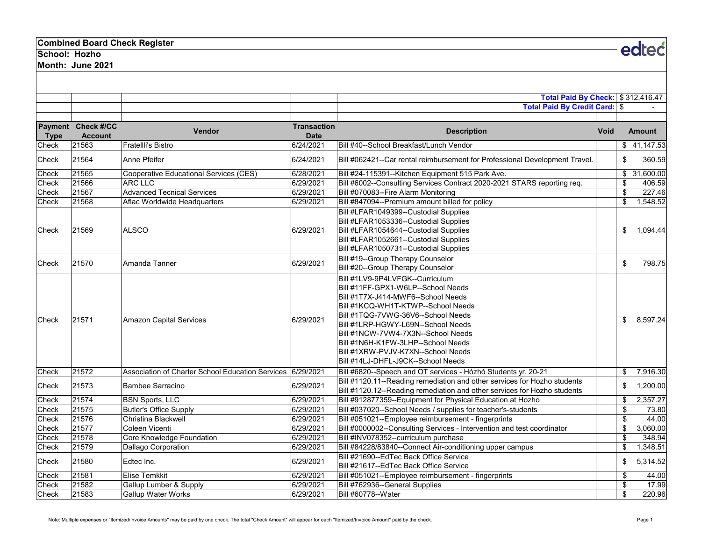## **Combined Board Check Register**

**School: Hozho**

**Month: June 2021**

|             |                                      |                                                            | Total Paid By Check: \$312,416.47 |                                                                                                                                                                                                                                                                                                                                                                                       |             |    |               |
|-------------|--------------------------------------|------------------------------------------------------------|-----------------------------------|---------------------------------------------------------------------------------------------------------------------------------------------------------------------------------------------------------------------------------------------------------------------------------------------------------------------------------------------------------------------------------------|-------------|----|---------------|
|             |                                      |                                                            |                                   | <b>Total Paid By Credit Card: \$</b>                                                                                                                                                                                                                                                                                                                                                  |             |    |               |
| <b>Type</b> | Payment Check #/CC<br><b>Account</b> | Vendor                                                     | <b>Transaction</b><br><b>Date</b> | <b>Description</b>                                                                                                                                                                                                                                                                                                                                                                    | <b>Void</b> |    | <b>Amount</b> |
| Check       | 21563                                | Fratellli's Bistro                                         | 6/24/2021                         | Bill #40--School Breakfast/Lunch Vendor                                                                                                                                                                                                                                                                                                                                               |             |    | \$41,147.53   |
| Check       | 21564                                | Anne Pfeifer                                               | 6/24/2021                         | Bill #062421--Car rental reimbursement for Professional Development Travel.                                                                                                                                                                                                                                                                                                           |             | \$ | 360.59        |
| Check       | 21565                                | Cooperative Educational Services (CES)                     | 6/28/2021                         | Bill #24-115391--Kitchen Equipment 515 Park Ave.                                                                                                                                                                                                                                                                                                                                      |             |    | \$31,600.00   |
| Check       | 21566                                | ARC LLC                                                    | 6/29/2021                         | Bill #6002--Consulting Services Contract 2020-2021 STARS reporting req.                                                                                                                                                                                                                                                                                                               |             | \$ | 406.59        |
| Check       | 21567                                | <b>Advanced Tecnical Services</b>                          | 6/29/2021                         | Bill #070083--Fire Alarm Monitoring                                                                                                                                                                                                                                                                                                                                                   |             | \$ | 227.46        |
| Check       | 21568                                | Aflac Worldwide Headquarters                               | 6/29/2021                         | Bill #847094--Premium amount billed for policy                                                                                                                                                                                                                                                                                                                                        |             | \$ | 1,548.52      |
| Check       | 21569                                | <b>ALSCO</b>                                               | 6/29/2021                         | Bill #LFAR1049399--Custodial Supplies<br>Bill #LFAR1053336--Custodial Supplies<br>Bill #LFAR1054644--Custodial Supplies<br>Bill #LFAR1052661--Custodial Supplies<br>Bill #LFAR1050731--Custodial Supplies                                                                                                                                                                             |             | \$ | 1,094.44      |
| Check       | 21570                                | Amanda Tanner                                              | 6/29/2021                         | Bill #19--Group Therapy Counselor<br>Bill #20--Group Therapy Counselor                                                                                                                                                                                                                                                                                                                |             | \$ | 798.75        |
| Check       | 21571                                | <b>Amazon Capital Services</b>                             | 6/29/2021                         | Bill #1LV9-9P4LVFGK--Curriculum<br>Bill #11FF-GPX1-W6LP--School Needs<br>Bill #1T7X-J414-MWF6--School Needs<br>Bill #1KCQ-WH1T-KTWP--School Needs<br>Bill #1TQG-7VWG-36V6--School Needs<br>Bill #1LRP-HGWY-L69N--School Needs<br>Bill #1NCW-7VW4-7X3N--School Needs<br>Bill #1N6H-K1FW-3LHP--School Needs<br>Bill #1XRW-PVJV-K7XN--School Needs<br>Bill #14LJ-DHFL-J9CK--School Needs |             | \$ | 8,597.24      |
| Check       | 21572                                | Association of Charter School Education Services 6/29/2021 |                                   | Bill #6820--Speech and OT services - Hózhó Students yr. 20-21                                                                                                                                                                                                                                                                                                                         |             | \$ | 7,916.30      |
| Check       | 21573                                | <b>Bambee Sarracino</b>                                    | 6/29/2021                         | Bill #1120.11--Reading remediation and other services for Hozho students<br>Bill #1120.12--Reading remediation and other services for Hozho students                                                                                                                                                                                                                                  |             | \$ | 1,200.00      |
| Check       | 21574                                | <b>BSN Sports, LLC</b>                                     | 6/29/2021                         | Bill #912877359--Equipment for Physical Education at Hozho                                                                                                                                                                                                                                                                                                                            |             | \$ | 2,357.27      |
| Check       | 21575                                | <b>Butler's Office Supply</b>                              | 6/29/2021                         | Bill #037020--School Needs / supplies for teacher's-students                                                                                                                                                                                                                                                                                                                          |             | \$ | 73.80         |
| Check       | 21576                                | Christina Blackwell                                        | 6/29/2021                         | Bill #051021--Employee reimbursement - fingerprints                                                                                                                                                                                                                                                                                                                                   |             | \$ | 44.00         |
| Check       | 21577                                | Coleen Vicenti                                             | 6/29/2021                         | Bill #0000002--Consulting Services - Intervention and test coordinator                                                                                                                                                                                                                                                                                                                |             | \$ | 3,060.00      |
| Check       | 21578                                | Core Knowledge Foundation                                  | 6/29/2021                         | Bill #INV078352--curriculum purchase                                                                                                                                                                                                                                                                                                                                                  |             | \$ | 348.94        |
| Check       | 21579                                | <b>Dallago Corporation</b>                                 | 6/29/2021                         | Bill #84228/83840--Connect Air-conditioning upper campus                                                                                                                                                                                                                                                                                                                              |             | \$ | 1,348.51      |
| Check       | 21580                                | Edtec Inc.                                                 | 6/29/2021                         | Bill #21690--EdTec Back Office Service<br>Bill #21617--EdTec Back Office Service                                                                                                                                                                                                                                                                                                      |             | \$ | 5,314.52      |
| Check       | 21581                                | Elise Temkkit                                              | 6/29/2021                         | Bill #051021--Employee reimbursement - fingerprints                                                                                                                                                                                                                                                                                                                                   |             | \$ | 44.00         |
| Check       | 21582                                | Gallup Lumber & Supply                                     | 6/29/2021                         | Bill #762936--General Supplies                                                                                                                                                                                                                                                                                                                                                        |             | \$ | 17.99         |
| Check       | 21583                                | <b>Gallup Water Works</b>                                  | 6/29/2021                         | Bill #60778--Water                                                                                                                                                                                                                                                                                                                                                                    |             | \$ | 220.96        |